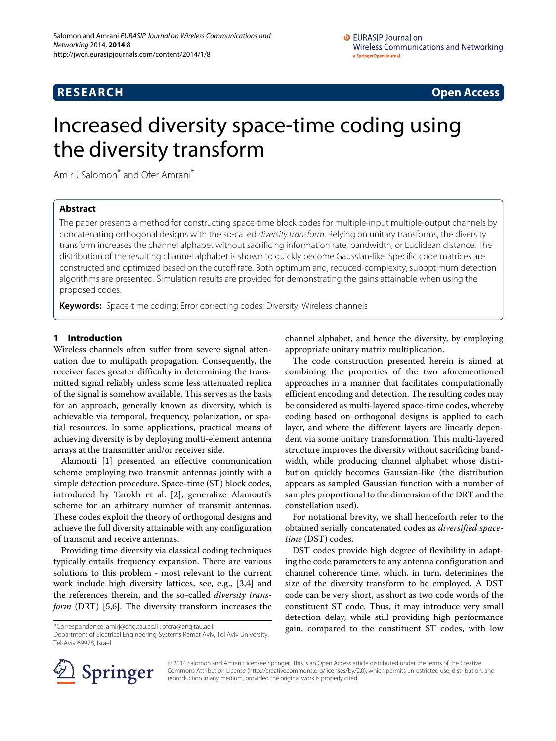## **RESEARCH Open Access**

# Increased diversity space-time coding using the diversity transform

Amir J Salomon<sup>\*</sup> and Ofer Amrani<sup>\*</sup>

## **Abstract**

The paper presents a method for constructing space-time block codes for multiple-input multiple-output channels by concatenating orthogonal designs with the so-called diversity transform. Relying on unitary transforms, the diversity transform increases the channel alphabet without sacrificing information rate, bandwidth, or Euclidean distance. The distribution of the resulting channel alphabet is shown to quickly become Gaussian-like. Specific code matrices are constructed and optimized based on the cutoff rate. Both optimum and, reduced-complexity, suboptimum detection algorithms are presented. Simulation results are provided for demonstrating the gains attainable when using the proposed codes.

**Keywords:** Space-time coding; Error correcting codes; Diversity; Wireless channels

## **1 Introduction**

Wireless channels often suffer from severe signal attenuation due to multipath propagation. Consequently, the receiver faces greater difficulty in determining the transmitted signal reliably unless some less attenuated replica of the signal is somehow available. This serves as the basis for an approach, generally known as diversity, which is achievable via temporal, frequency, polarization, or spatial resources. In some applications, practical means of achieving diversity is by deploying multi-element antenna arrays at the transmitter and/or receiver side.

Alamouti [\[1\]](#page-12-0) presented an effective communication scheme employing two transmit antennas jointly with a simple detection procedure. Space-time (ST) block codes, introduced by Tarokh et al. [\[2\]](#page-12-1), generalize Alamouti's scheme for an arbitrary number of transmit antennas. These codes exploit the theory of orthogonal designs and achieve the full diversity attainable with any configuration of transmit and receive antennas.

Providing time diversity via classical coding techniques typically entails frequency expansion. There are various solutions to this problem - most relevant to the current work include high diversity lattices, see, e.g., [\[3,](#page-12-2)[4\]](#page-12-3) and the references therein, and the so-called *diversity transform* (DRT) [\[5](#page-12-4)[,6\]](#page-12-5). The diversity transform increases the

\*Correspondence: [amirj@eng.tau.ac.il](mailto: amirj@eng.tau.ac.il) ; ofera@eng.tau.ac.il

Department of Electrical Engineering-Systems Ramat Aviv, Tel Aviv University, Tel-Aviv 69978, Israel

channel alphabet, and hence the diversity, by employing appropriate unitary matrix multiplication.

The code construction presented herein is aimed at combining the properties of the two aforementioned approaches in a manner that facilitates computationally efficient encoding and detection. The resulting codes may be considered as multi-layered space-time codes, whereby coding based on orthogonal designs is applied to each layer, and where the different layers are linearly dependent via some unitary transformation. This multi-layered structure improves the diversity without sacrificing bandwidth, while producing channel alphabet whose distribution quickly becomes Gaussian-like (the distribution appears as sampled Gaussian function with a number of samples proportional to the dimension of the DRT and the constellation used).

For notational brevity, we shall henceforth refer to the obtained serially concatenated codes as *diversified spacetime* (DST) codes.

DST codes provide high degree of flexibility in adapting the code parameters to any antenna configuration and channel coherence time, which, in turn, determines the size of the diversity transform to be employed. A DST code can be very short, as short as two code words of the constituent ST code. Thus, it may introduce very small detection delay, while still providing high performance gain, compared to the constituent ST codes, with low



© 2014 Salomon and Amrani; licensee Springer. This is an Open Access article distributed under the terms of the Creative Commons Attribution License [\(http://creativecommons.org/licenses/by/2.0\)](http://creativecommons.org/licenses/by/2.0), which permits unrestricted use, distribution, and reproduction in any medium, provided the original work is properly cited.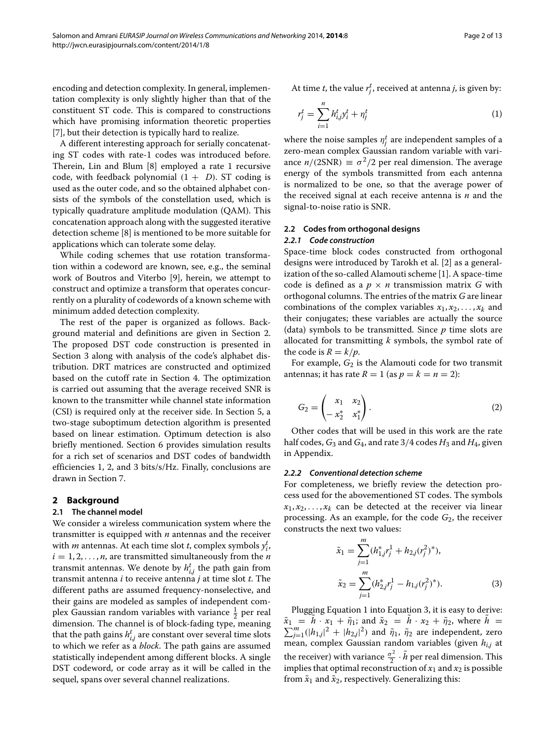encoding and detection complexity. In general, implementation complexity is only slightly higher than that of the constituent ST code. This is compared to constructions which have promising information theoretic properties [\[7\]](#page-12-6), but their detection is typically hard to realize.

A different interesting approach for serially concatenating ST codes with rate-1 codes was introduced before. Therein, Lin and Blum [\[8\]](#page-12-7) employed a rate 1 recursive code, with feedback polynomial  $(1 + D)$ . ST coding is used as the outer code, and so the obtained alphabet consists of the symbols of the constellation used, which is typically quadrature amplitude modulation (QAM). This concatenation approach along with the suggested iterative detection scheme [\[8\]](#page-12-7) is mentioned to be more suitable for applications which can tolerate some delay.

While coding schemes that use rotation transformation within a codeword are known, see, e.g., the seminal work of Boutros and Viterbo [\[9\]](#page-12-8), herein, we attempt to construct and optimize a transform that operates concurrently on a plurality of codewords of a known scheme with minimum added detection complexity.

The rest of the paper is organized as follows. Background material and definitions are given in Section [2.](#page-1-0) The proposed DST code construction is presented in Section [3](#page-2-0) along with analysis of the code's alphabet distribution. DRT matrices are constructed and optimized based on the cutoff rate in Section [4.](#page-3-0) The optimization is carried out assuming that the average received SNR is known to the transmitter while channel state information (CSI) is required only at the receiver side. In Section [5,](#page-6-0) a two-stage suboptimum detection algorithm is presented based on linear estimation. Optimum detection is also briefly mentioned. Section [6](#page-8-0) provides simulation results for a rich set of scenarios and DST codes of bandwidth efficiencies 1, 2, and 3 bits/s/Hz. Finally, conclusions are drawn in Section [7.](#page-11-0)

## <span id="page-1-0"></span>**2 Background**

## **2.1 The channel model**

We consider a wireless communication system where the transmitter is equipped with *n* antennas and the receiver with *m* antennas. At each time slot *t*, complex symbols  $y_i^t$ ,  $i = 1, 2, \ldots, n$ , are transmitted simultaneously from the *n* transmit antennas. We denote by  $h_{i,j}^t$  the path gain from transmit antenna *i* to receive antenna *j* at time slot *t*. The different paths are assumed frequency-nonselective, and their gains are modeled as samples of independent complex Gaussian random variables with variance  $\frac{1}{2}$  per real dimension. The channel is of block-fading type, meaning that the path gains  $h_{i,j}^t$  are constant over several time slots to which we refer as a *block*. The path gains are assumed statistically independent among different blocks. A single DST codeword, or code array as it will be called in the sequel, spans over several channel realizations.

At time *t*, the value  $r_j^t$ , received at antenna *j*, is given by:

<span id="page-1-1"></span>
$$
r_j^t = \sum_{i=1}^n h_{i,j}^t y_i^t + \eta_j^t \tag{1}
$$

where the noise samples  $\eta^t_j$  are independent samples of a zero-mean complex Gaussian random variable with variance  $n/(2SNR) \equiv \sigma^2/2$  per real dimension. The average energy of the symbols transmitted from each antenna is normalized to be one, so that the average power of the received signal at each receive antenna is *n* and the signal-to-noise ratio is SNR.

## <span id="page-1-3"></span>**2.2 Codes from orthogonal designs**

## *2.2.1 Code construction*

Space-time block codes constructed from orthogonal designs were introduced by Tarokh et al. [\[2\]](#page-12-1) as a generalization of the so-called Alamouti scheme [\[1\]](#page-12-0). A space-time code is defined as a  $p \times n$  transmission matrix *G* with orthogonal columns. The entries of the matrix *G* are linear combinations of the complex variables  $x_1, x_2, \ldots, x_k$  and their conjugates; these variables are actually the source (data) symbols to be transmitted. Since *p* time slots are allocated for transmitting *k* symbols, the symbol rate of the code is  $R = k/p$ .

For example,  $G_2$  is the Alamouti code for two transmit antennas; it has rate  $R = 1$  (as  $p = k = n = 2$ ):

$$
G_2 = \begin{pmatrix} x_1 & x_2 \\ -x_2^* & x_1^* \end{pmatrix} . \tag{2}
$$

Other codes that will be used in this work are the rate half codes,  $G_3$  and  $G_4$ , and rate 3/4 codes  $H_3$  and  $H_4$ , given in [Appendix.](#page-11-1)

#### *2.2.2 Conventional detection scheme*

For completeness, we briefly review the detection process used for the abovementioned ST codes. The symbols  $x_1, x_2, \ldots, x_k$  can be detected at the receiver via linear processing. As an example, for the code *G*2, the receiver constructs the next two values:

<span id="page-1-2"></span>
$$
\tilde{x}_1 = \sum_{j=1}^m (h_{1,j}^* r_j^1 + h_{2,j} (r_j^2)^*),
$$
  
\n
$$
\tilde{x}_2 = \sum_{j=1}^m (h_{2,j}^* r_j^1 - h_{1,j} (r_j^2)^*).
$$
\n(3)

Plugging Equation [1](#page-1-1) into Equation [3,](#page-1-2) it is easy to derive:  $\tilde{x}_1 = h \cdot x_1 + \tilde{\eta}_1$ ; and  $\tilde{x}_2 = h \cdot x_2 + \tilde{\eta}_2$ , where  $\tilde{x}_1 = h \cdot x_1 + \tilde{\eta}_1$ ; and  $\tilde{x}_2 = h \cdot x_2 + \tilde{\eta}_2$ , where  $h = \sum_{i=1}^{m} (|h_{1,i}|^2 + |h_{2,i}|^2)$  and  $\tilde{\eta}_1$ ,  $\tilde{\eta}_2$  are independent, zero *j*<sub>1</sub>(|*h*<sub>1,*j*</sub>|<sup>2</sup> + |*h*<sub>2,*j*</sub>|<sup>2</sup>) and  $\tilde{\eta}_1$ ,  $\tilde{\eta}_2$  are independent, zero mean, complex Gaussian random variables (given  $h_{i,j}$  at the receiver) with variance  $\frac{\sigma^2}{2} \cdot \tilde{h}$  per real dimension. This implies that optimal reconstruction of  $x_1$  and  $x_2$  is possible from  $\tilde{x}_1$  and  $\tilde{x}_2$ , respectively. Generalizing this: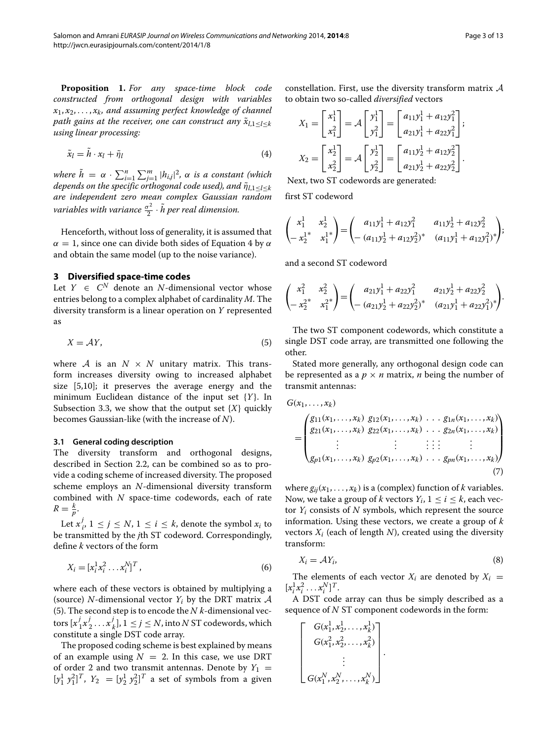<span id="page-2-3"></span>**Proposition 1.** *For any space-time block code constructed from orthogonal design with variables x*1, *x*2, *...* , *xk, and assuming perfect knowledge of channel path gains at the receiver, one can construct any*  $\tilde{x}_{l,1}$ <*l*<*k using linear processing:*

<span id="page-2-1"></span>
$$
\tilde{x}_l = \tilde{h} \cdot x_l + \tilde{\eta}_l \tag{4}
$$

*where*  $\tilde{h} = \alpha \cdot \sum_{i=1}^{n} \sum_{j=1}^{m} |h_{i,j}|^2$ ,  $\alpha$  *is a constant (which depends on the specific orthogonal code used), and*  $\tilde{\eta}_{l,1}$ <*l*<*k are independent zero mean complex Gaussian random* rariables with variance  $\frac{\sigma^2}{2} \cdot \tilde{h}$  per real dimension.

Henceforth, without loss of generality, it is assumed that  $\alpha = 1$ , since one can divide both sides of Equation [4](#page-2-1) by  $\alpha$ and obtain the same model (up to the noise variance).

## <span id="page-2-0"></span>**3 Diversified space-time codes**

Let  $Y \in C^N$  denote an *N*-dimensional vector whose entries belong to a complex alphabet of cardinality *M*. The diversity transform is a linear operation on *Y* represented as

<span id="page-2-2"></span>
$$
X = \mathcal{A}Y,\tag{5}
$$

where  $A$  is an  $N \times N$  unitary matrix. This transform increases diversity owing to increased alphabet size [\[5,](#page-12-4)[10\]](#page-12-9); it preserves the average energy and the minimum Euclidean distance of the input set {*Y*}. In Subsection [3.3,](#page-3-1) we show that the output set {*X*} quickly becomes Gaussian-like (with the increase of *N*).

## **3.1 General coding description**

The diversity transform and orthogonal designs, described in Section [2.2,](#page-1-3) can be combined so as to provide a coding scheme of increased diversity. The proposed scheme employs an *N*-dimensional diversity transform combined with *N* space-time codewords, each of rate  $R = \frac{k}{p}$ .

Let  $x_i^j$ ,  $1 \le j \le N$ ,  $1 \le i \le k$ , denote the symbol  $x_i$  to be transmitted by the *j*th ST codeword. Correspondingly, define *k* vectors of the form

$$
X_i = [x_i^1 x_i^2 \dots x_i^N]^T, \tag{6}
$$

where each of these vectors is obtained by multiplying a (source) *N*-dimensional vector  $Y_i$  by the DRT matrix  $\mathcal A$ [\(5\)](#page-2-2). The second step is to encode the *N k*-dimensional vectors  $[x_1^j x_2^j \ldots x_k^j]$ ,  $1 \le j \le N$ , into *N* ST codewords, which constitute a single DST code array.

The proposed coding scheme is best explained by means of an example using  $N = 2$ . In this case, we use DRT of order 2 and two transmit antennas. Denote by  $Y_1$  =  $[y_1^1 \ y_1^2]^T$ ,  $Y_2 = [y_2^1 \ y_2^2]^T$  a set of symbols from a given constellation. First, use the diversity transform matrix  $A$ to obtain two so-called *diversified* vectors

$$
X_1 = \begin{bmatrix} x_1^1 \\ x_1^2 \end{bmatrix} = \mathcal{A} \begin{bmatrix} y_1^1 \\ y_1^2 \end{bmatrix} = \begin{bmatrix} a_{11}y_1^1 + a_{12}y_1^2 \\ a_{21}y_1^1 + a_{22}y_1^2 \end{bmatrix};
$$
  
\n
$$
X_2 = \begin{bmatrix} x_2^1 \\ x_2^2 \end{bmatrix} = \mathcal{A} \begin{bmatrix} y_2^1 \\ y_2^2 \end{bmatrix} = \begin{bmatrix} a_{11}y_2^1 + a_{12}y_2^2 \\ a_{21}y_2^1 + a_{22}y_2^2 \end{bmatrix}.
$$

Next, two ST codewords are generated:

first ST codeword

$$
\begin{pmatrix} x_1^1 & x_2^1 \ -x_2^{1*} & x_1^1{}^* \end{pmatrix} = \begin{pmatrix} a_{11}y_1^1 + a_{12}y_1^2 & a_{11}y_2^1 + a_{12}y_2^2 \ -a_{11}y_2^1 + a_{12}y_2^2 & a_{11}y_1^1 + a_{12}y_1^2{}^* \end{pmatrix};
$$

and a second ST codeword

$$
\begin{pmatrix} x_1^2 & x_2^2 \ -x_2^{2^*} & x_1^{2^*} \end{pmatrix} = \begin{pmatrix} a_{21}y_1^1 + a_{22}y_1^2 & a_{21}y_2^1 + a_{22}y_2^2 \ -a_{21}y_2^1 + a_{22}y_2^2 & a_{21}y_1^1 + a_{22}y_1^2 \end{pmatrix}.
$$

The two ST component codewords, which constitute a single DST code array, are transmitted one following the other.

Stated more generally, any orthogonal design code can be represented as a  $p \times n$  matrix, *n* being the number of transmit antennas:

$$
G(x_1,...,x_k)
$$
\n
$$
= \begin{pmatrix}\ng_{11}(x_1,...,x_k) & g_{12}(x_1,...,x_k) & \dots & g_{1n}(x_1,...,x_k) \\
g_{21}(x_1,...,x_k) & g_{22}(x_1,...,x_k) & \dots & g_{2n}(x_1,...,x_k) \\
\vdots & \vdots & \vdots & \vdots \\
g_{p1}(x_1,...,x_k) & g_{p2}(x_1,...,x_k) & \dots & g_{pn}(x_1,...,x_k)\n\end{pmatrix}
$$
\n(7)

where  $g_{ij}(x_1, \ldots, x_k)$  is a (complex) function of *k* variables. Now, we take a group of *k* vectors  $Y_i$ ,  $1 \le i \le k$ , each vector  $Y_i$  consists of  $N$  symbols, which represent the source information. Using these vectors, we create a group of *k* vectors  $X_i$  (each of length  $N$ ), created using the diversity transform:

$$
X_i = \mathcal{A}Y_i,\tag{8}
$$

The elements of each vector  $X_i$  are denoted by  $X_i$  =  $[x_i^1 x_i^2 \ldots x_i^N]^T$ .

A DST code array can thus be simply described as a sequence of *N* ST component codewords in the form:

.

$$
\begin{bmatrix}\nG(x_1^1, x_2^1, \dots, x_k^1) \\
G(x_1^2, x_2^2, \dots, x_k^2) \\
\vdots \\
G(x_1^N, x_2^N, \dots, x_k^N)\n\end{bmatrix}
$$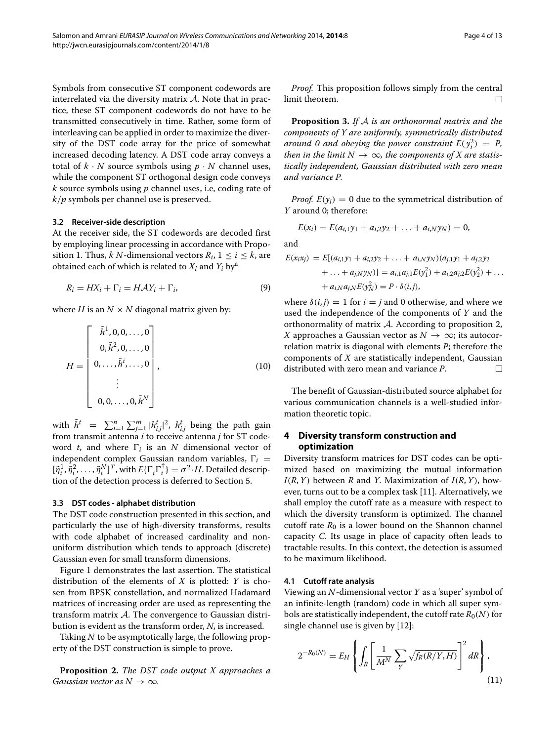Symbols from consecutive ST component codewords are interrelated via the diversity matrix  $A$ . Note that in practice, these ST component codewords do not have to be transmitted consecutively in time. Rather, some form of interleaving can be applied in order to maximize the diversity of the DST code array for the price of somewhat increased decoding latency. A DST code array conveys a total of  $k \cdot N$  source symbols using  $p \cdot N$  channel uses, while the component ST orthogonal design code conveys *k* source symbols using *p* channel uses, i.e, coding rate of *k/p* symbols per channel use is preserved.

#### **3.2 Receiver-side description**

At the receiver side, the ST codewords are decoded first by employing linear processing in accordance with Propo-sition [1.](#page-2-3) Thus, *k N*-dimensional vectors  $R_i$ ,  $1 \le i \le k$ , are obtained each of which is related to  $X_i$  and  $Y_i$  by<sup>a</sup>

$$
R_i = HX_i + \Gamma_i = HAY_i + \Gamma_i,\tag{9}
$$

where *H* is an  $N \times N$  diagonal matrix given by:

$$
H = \begin{bmatrix} \tilde{h}^{1}, 0, 0, \dots, 0 \\ 0, \tilde{h}^{2}, 0, \dots, 0 \\ 0, \dots, \tilde{h}^{i}, \dots, 0 \\ \vdots \\ 0, 0, \dots, 0, \tilde{h}^{N} \end{bmatrix},
$$
(10)

with  $\tilde{h}^t$  =  $\sum_{i=1}^n \sum_{j=1}^m |h_{i,j}^t|^2$ ,  $h_{i,j}^t$  being the path gain from transmit antenna *i* to receive antenna *j* for ST codeword *t*, and where  $\Gamma_i$  is an *N* dimensional vector of independent complex Gaussian random variables,  $\Gamma_i$  =  $[\tilde{\eta}_i^1, \tilde{\eta}_i^2, \dots, \tilde{\eta}_i^N]^T$ , with  $E\{\Gamma_i\Gamma_i^\dagger\} = \sigma^2 \cdot H$ . Detailed description of the detection process is deferred to Section [5.](#page-6-0)

#### <span id="page-3-1"></span>**3.3 DST codes - alphabet distribution**

The DST code construction presented in this section, and particularly the use of high-diversity transforms, results with code alphabet of increased cardinality and nonuniform distribution which tends to approach (discrete) Gaussian even for small transform dimensions.

Figure [1](#page-4-0) demonstrates the last assertion. The statistical distribution of the elements of *X* is plotted: *Y* is chosen from BPSK constellation, and normalized Hadamard matrices of increasing order are used as representing the transform matrix A. The convergence to Gaussian distribution is evident as the transform order, *N*, is increased.

Taking *N* to be asymptotically large, the following property of the DST construction is simple to prove.

<span id="page-3-2"></span>**Proposition 2.** *The DST code output X approaches a Gaussian vector as*  $N \rightarrow \infty$ *.* 

*Proof.* This proposition follows simply from the central limit theorem.  $\Box$ 

**Proposition 3.** *If* A *is an orthonormal matrix and the components of Y are uniformly, symmetrically distributed around* 0 and obeying the power constraint  $E(y_i^2) = P$ , *then in the limit*  $N \to \infty$ *, the components of X are statistically independent, Gaussian distributed with zero mean and variance P.*

*Proof.*  $E(\gamma_i) = 0$  due to the symmetrical distribution of *Y* around 0; therefore:

$$
E(x_i) = E(a_{i,1}y_1 + a_{i,2}y_2 + \ldots + a_{i,N}y_N) = 0,
$$

and

<span id="page-3-4"></span>
$$
E(x_i x_j) = E[(a_{i,1}y_1 + a_{i,2}y_2 + \dots + a_{i,N}y_N)(a_{j,1}y_1 + a_{j,2}y_2 + \dots + a_{j,N}y_N)] = a_{i,1}a_{j,1}E(y_1^2) + a_{i,2}a_{j,2}E(y_2^2) + \dots + a_{i,N}a_{j,N}E(y_N^2) = P \cdot \delta(i,j),
$$

<span id="page-3-5"></span>where  $\delta(i, j) = 1$  for  $i = j$  and 0 otherwise, and where we used the independence of the components of *Y* and the orthonormality of matrix  $A$ . According to proposition [2,](#page-3-2) *X* approaches a Gaussian vector as  $N \to \infty$ ; its autocorrelation matrix is diagonal with elements *P*; therefore the components of *X* are statistically independent, Gaussian distributed with zero mean and variance *P*.  $\Box$ 

The benefit of Gaussian-distributed source alphabet for various communication channels is a well-studied information theoretic topic.

## <span id="page-3-0"></span>**4 Diversity transform construction and optimization**

Diversity transform matrices for DST codes can be optimized based on maximizing the mutual information  $I(R, Y)$  between *R* and *Y*. Maximization of  $I(R, Y)$ , however, turns out to be a complex task [\[11\]](#page-12-10). Alternatively, we shall employ the cutoff rate as a measure with respect to which the diversity transform is optimized. The channel cutoff rate  $R_0$  is a lower bound on the Shannon channel capacity *C*. Its usage in place of capacity often leads to tractable results. In this context, the detection is assumed to be maximum likelihood.

#### **4.1 Cutoff rate analysis**

Viewing an *N*-dimensional vector *Y* as a 'super' symbol of an infinite-length (random) code in which all super symbols are statistically independent, the cutoff rate  $R_0(N)$  for single channel use is given by [\[12\]](#page-12-11):

<span id="page-3-3"></span>
$$
2^{-R_0(N)} = E_H \left\{ \int_R \left[ \frac{1}{M^N} \sum_Y \sqrt{f_R(R/Y, H)} \right]^2 dR \right\},\tag{11}
$$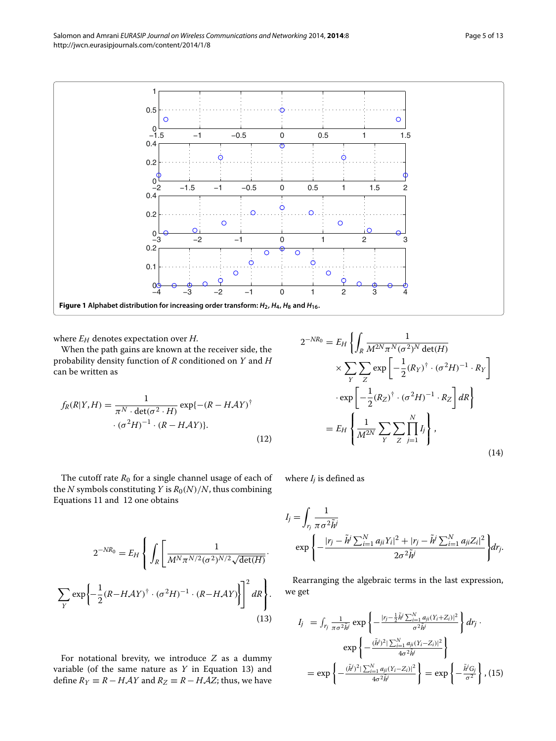

<span id="page-4-0"></span>where  $E_H$  denotes expectation over  $H$ .

Equations [11](#page-3-3) and [12](#page-4-1) one obtains

When the path gains are known at the receiver side, the probability density function of *R* conditioned on *Y* and *H* can be written as

<span id="page-4-1"></span>
$$
f_R(R|Y,H) = \frac{1}{\pi^N \cdot \det(\sigma^2 \cdot H)} \exp\{-(R - HAY)^{\dagger}
$$

$$
\cdot (\sigma^2 H)^{-1} \cdot (R - HAY)\}.
$$
\n(12)

$$
2^{-NR_0} = E_H \left\{ \int_R \frac{1}{M^{2N} \pi^N (\sigma^2)^N \det(H)} \times \sum_Y \sum_Z \exp\left[ -\frac{1}{2} (R_Y)^{\dagger} \cdot (\sigma^2 H)^{-1} \cdot R_Y \right] \right\}
$$

$$
\cdot \exp\left[ -\frac{1}{2} (R_Z)^{\dagger} \cdot (\sigma^2 H)^{-1} \cdot R_Z \right] dR \right\}
$$

$$
= E_H \left\{ \frac{1}{M^{2N}} \sum_Y \sum_Z \prod_{j=1}^N I_j \right\}, \tag{14}
$$

The cutoff rate  $R_0$  for a single channel usage of each of the *N* symbols constituting *Y* is  $R_0(N)/N$ , thus combining where  $I_i$  is defined as

$$
2^{-NR_0} = E_H \left\{ \int_R \left[ \frac{1}{M^N \pi^{N/2} (\sigma^2)^{N/2} \sqrt{\det(H)}} \right] \right\}
$$

$$
\sum_{Y} \exp \left\{ -\frac{1}{2} (R - H\mathcal{A}Y)^{\dagger} \cdot (\sigma^2 H)^{-1} \cdot (R - H\mathcal{A}Y) \right\} \right\}^2 dR \right\}.
$$
(13)

For notational brevity, we introduce *Z* as a dummy variable (of the same nature as *Y* in Equation [13\)](#page-4-2) and define  $R_Y$  ≡  $R - HAY$  and  $R_Z$  ≡  $R - HAZ$ ; thus, we have

<span id="page-4-4"></span><span id="page-4-2"></span>
$$
I_j = \int_{r_j} \frac{1}{\pi \sigma^2 \tilde{h}^j}
$$
  
 
$$
\exp \left\{ -\frac{|r_j - \tilde{h}^j \sum_{i=1}^N a_{ji} Y_i|^2 + |r_j - \tilde{h}^j \sum_{i=1}^N a_{ji} Z_i|^2}{2\sigma^2 \tilde{h}^j} \right\} dr_j.
$$

Rearranging the algebraic terms in the last expression, we get

<span id="page-4-3"></span>
$$
I_{j} = \int_{r_{j}} \frac{1}{\pi \sigma^{2} \tilde{h}^{j}} \exp \left\{ -\frac{|r_{j} - \frac{1}{2} \tilde{h}^{j} \sum_{i=1}^{N} a_{ji} (Y_{i} + Z_{i})|^{2}}{\sigma^{2} \tilde{h}^{j}} \right\} dr_{j} \cdot \exp \left\{ -\frac{(\tilde{h}^{j})^{2} \sum_{i=1}^{N} a_{ji} (Y_{i} - Z_{i})|^{2}}{4 \sigma^{2} \tilde{h}^{j}} \right\}
$$
  
= 
$$
\exp \left\{ -\frac{(\tilde{h}^{j})^{2} \sum_{i=1}^{N} a_{ji} (Y_{i} - Z_{i})|^{2}}{4 \sigma^{2} \tilde{h}^{j}} \right\} = \exp \left\{ -\frac{\tilde{h}^{j} G_{j}}{\sigma^{2}} \right\}, (15)
$$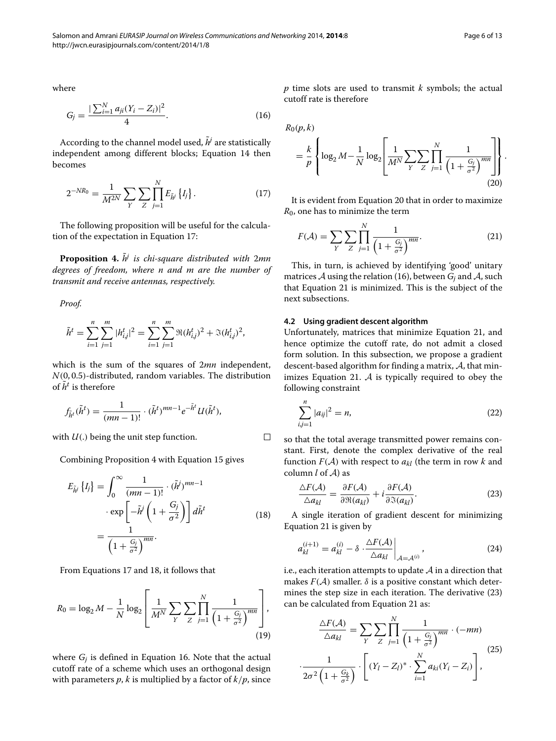where

<span id="page-5-3"></span>
$$
G_j = \frac{|\sum_{i=1}^{N} a_{ji}(Y_i - Z_i)|^2}{4}.
$$
\n(16)

According to the channel model used,  $\tilde{h}$ <sup>*i*</sup> are statistically independent among different blocks; Equation [14](#page-4-3) then becomes

<span id="page-5-0"></span>
$$
2^{-NR_0} = \frac{1}{M^{2N}} \sum_{Y} \sum_{Z} \prod_{j=1}^{N} E_{\tilde{h}^j} \{I_j\}.
$$
 (17)

The following proposition will be useful for the calculation of the expectation in Equation [17:](#page-5-0)

<span id="page-5-1"></span>**Proposition 4.**  $\tilde{h}$ <sup>*i*</sup> *is chi-square distributed with 2mn degrees of freedom, where n and m are the number of transmit and receive antennas, respectively.*

*Proof.*

$$
\tilde{h}^t = \sum_{i=1}^n \sum_{j=1}^m |h_{i,j}^t|^2 = \sum_{i=1}^n \sum_{j=1}^m \Re(h_{i,j}^t)^2 + \Im(h_{i,j}^t)^2,
$$

which is the sum of the squares of 2*mn* independent, *N(*0, 0.5*)*-distributed, random variables. The distribution of  $\tilde{h}^t$  is therefore

$$
f_{\tilde{h}^t}(\tilde{h}^t) = \frac{1}{(mn-1)!} \cdot (\tilde{h}^t)^{mn-1} e^{-\tilde{h}^t} U(\tilde{h}^t),
$$

with  $U(.)$  being the unit step function.

Combining Proposition [4](#page-5-1) with Equation [15](#page-4-4) gives

$$
E_{\tilde{h}^j} \{I_j\} = \int_0^\infty \frac{1}{(mn-1)!} \cdot (\tilde{h}^j)^{mn-1}
$$

$$
\cdot \exp\left[-\tilde{h}^j \left(1 + \frac{G_j}{\sigma^2}\right)\right] d\tilde{h}^t
$$

$$
= \frac{1}{\left(1 + \frac{G_j}{\sigma^2}\right)^{mn}}.
$$
(18)

From Equations [17](#page-5-0) and [18,](#page-5-2) it follows that

$$
R_0 = \log_2 M - \frac{1}{N} \log_2 \left[ \frac{1}{M^N} \sum_{Y} \sum_{Z} \prod_{j=1}^{N} \frac{1}{\left( 1 + \frac{G_j}{\sigma^2} \right)^{mn}} \right],
$$
\n(19)

where  $G_i$  is defined in Equation [16.](#page-5-3) Note that the actual cutoff rate of a scheme which uses an orthogonal design with parameters  $p$ ,  $k$  is multiplied by a factor of  $k/p$ , since

<span id="page-5-4"></span>*p* time slots are used to transmit *k* symbols; the actual cutoff rate is therefore

 $R_0(p, k)$ 

<span id="page-5-2"></span> $\Box$ 

$$
= \frac{k}{p} \left\{ \log_2 M - \frac{1}{N} \log_2 \left[ \frac{1}{M^N} \sum_{Y} \sum_{Z} \prod_{j=1}^N \frac{1}{\left( 1 + \frac{G_j}{\sigma^2} \right)^{mn}} \right] \right\}.
$$
\n(20)

It is evident from Equation [20](#page-5-4) that in order to maximize *R*0, one has to minimize the term

<span id="page-5-5"></span>
$$
F(\mathcal{A}) = \sum_{Y} \sum_{Z} \prod_{j=1}^{N} \frac{1}{\left(1 + \frac{G_j}{\sigma^2}\right)^{mn}}.
$$
 (21)

This, in turn, is achieved by identifying 'good' unitary matrices  $A$  using the relation [\(16\)](#page-5-3), between  $G_i$  and  $A$ , such that Equation [21](#page-5-5) is minimized. This is the subject of the next subsections.

## <span id="page-5-10"></span>**4.2 Using gradient descent algorithm**

Unfortunately, matrices that minimize Equation [21,](#page-5-5) and hence optimize the cutoff rate, do not admit a closed form solution. In this subsection, we propose a gradient descent-based algorithm for finding a matrix,  $A$ , that min-imizes Equation [21.](#page-5-5)  $A$  is typically required to obey the following constraint

<span id="page-5-8"></span>
$$
\sum_{i,j=1}^{n} |a_{ij}|^2 = n,
$$
\n(22)

so that the total average transmitted power remains constant. First, denote the complex derivative of the real function  $F(A)$  with respect to  $a_{kl}$  (the term in row k and column *l* of A) as

<span id="page-5-6"></span>
$$
\frac{\Delta F(\mathcal{A})}{\Delta a_{kl}} = \frac{\partial F(\mathcal{A})}{\partial \Re(a_{kl})} + i \frac{\partial F(\mathcal{A})}{\partial \Im(a_{kl})}.
$$
(23)

A single iteration of gradient descent for minimizing Equation [21](#page-5-5) is given by

<span id="page-5-7"></span>
$$
a_{kl}^{(i+1)} = a_{kl}^{(i)} - \delta \cdot \frac{\Delta F(\mathcal{A})}{\Delta a_{kl}} \bigg|_{\mathcal{A} = \mathcal{A}^{(i)}},
$$
(24)

i.e., each iteration attempts to update  $A$  in a direction that makes  $F(A)$  smaller.  $\delta$  is a positive constant which determines the step size in each iteration. The derivative [\(23\)](#page-5-6) can be calculated from Equation [21](#page-5-5) as:

<span id="page-5-9"></span>
$$
\frac{\Delta F(\mathcal{A})}{\Delta a_{kl}} = \sum_{Y} \sum_{Z} \prod_{j=1}^{N} \frac{1}{\left(1 + \frac{G_j}{\sigma^2}\right)^{mn}} \cdot (-mn)
$$
\n
$$
\cdot \frac{1}{2\sigma^2 \left(1 + \frac{G_k}{\sigma^2}\right)} \cdot \left[ (Y_l - Z_l)^* \cdot \sum_{i=1}^{N} a_{ki} (Y_i - Z_i) \right],
$$
\n(25)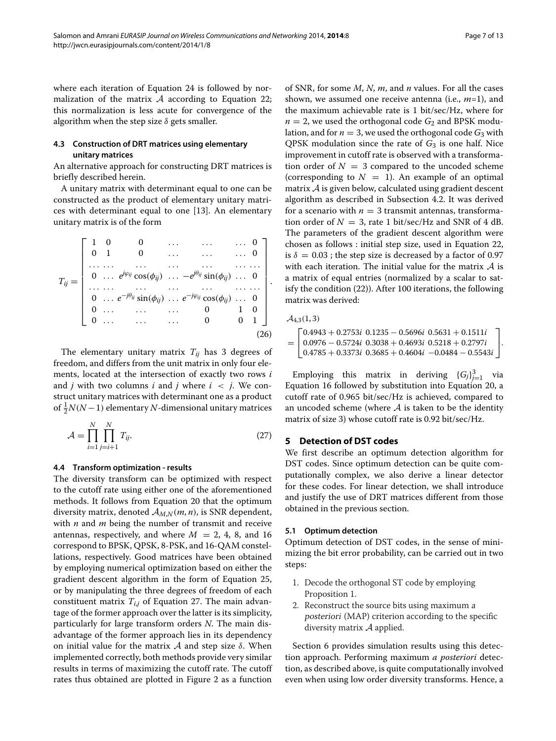where each iteration of Equation [24](#page-5-7) is followed by normalization of the matrix  $A$  according to Equation [22;](#page-5-8) this normalization is less acute for convergence of the algorithm when the step size *δ* gets smaller.

## **4.3 Construction of DRT matrices using elementary unitary matrices**

An alternative approach for constructing DRT matrices is briefly described herein.

A unitary matrix with determinant equal to one can be constructed as the product of elementary unitary matrices with determinant equal to one [\[13\]](#page-12-12). An elementary unitary matrix is of the form

$$
T_{ij} = \begin{bmatrix} 1 & 0 & 0 & \dots & \dots & \dots & 0 \\ 0 & 1 & 0 & \dots & \dots & \dots & 0 \\ \dots & \dots & \dots & \dots & \dots & \dots & \dots \\ 0 & \dots & e^{j\varphi_{ij}}\cos(\phi_{ij}) & \dots & -e^{j\theta_{ij}}\sin(\phi_{ij}) & \dots & 0 \\ \dots & \dots & \dots & \dots & \dots & \dots & \dots \\ 0 & \dots & e^{-j\theta_{ij}}\sin(\phi_{ij}) & \dots & e^{-j\varphi_{ij}}\cos(\phi_{ij}) & \dots & 0 \\ 0 & \dots & \dots & \dots & 0 & 0 & 1 \end{bmatrix}.
$$
\n(26)

The elementary unitary matrix *Tij* has 3 degrees of freedom, and differs from the unit matrix in only four elements, located at the intersection of exactly two rows *i* and *j* with two columns *i* and *j* where  $i < j$ . We construct unitary matrices with determinant one as a product of  $\frac{1}{2}N(N-1)$  elementary *N*-dimensional unitary matrices

$$
\mathcal{A} = \prod_{i=1}^{N} \prod_{j=i+1}^{N} T_{ij}.
$$
 (27)

## **4.4 Transform optimization - results**

The diversity transform can be optimized with respect to the cutoff rate using either one of the aforementioned methods. It follows from Equation [20](#page-5-4) that the optimum diversity matrix, denoted  $A_{M,N}(m, n)$ , is SNR dependent, with *n* and *m* being the number of transmit and receive antennas, respectively, and where  $M = 2, 4, 8,$  and 16 correspond to BPSK, QPSK, 8-PSK, and 16-QAM constellations, respectively. Good matrices have been obtained by employing numerical optimization based on either the gradient descent algorithm in the form of Equation [25,](#page-5-9) or by manipulating the three degrees of freedom of each constituent matrix  $T_{i,j}$  of Equation [27.](#page-6-1) The main advantage of the former approach over the latter is its simplicity, particularly for large transform orders *N*. The main disadvantage of the former approach lies in its dependency on initial value for the matrix A and step size *δ*. When implemented correctly, both methods provide very similar results in terms of maximizing the cutoff rate. The cutoff rates thus obtained are plotted in Figure [2](#page-7-0) as a function of SNR, for some *M*, *N*, *m*, and *n* values. For all the cases shown, we assumed one receive antenna (i.e., *m*=1), and the maximum achievable rate is 1 bit/sec/Hz, where for  $n = 2$ , we used the orthogonal code  $G_2$  and BPSK modulation, and for  $n = 3$ , we used the orthogonal code  $G_3$  with QPSK modulation since the rate of *G*<sup>3</sup> is one half. Nice improvement in cutoff rate is observed with a transformation order of  $N = 3$  compared to the uncoded scheme (corresponding to  $N = 1$ ). An example of an optimal matrix A is given below, calculated using gradient descent algorithm as described in Subsection [4.2.](#page-5-10) It was derived for a scenario with  $n = 3$  transmit antennas, transformation order of  $N = 3$ , rate 1 bit/sec/Hz and SNR of 4 dB. The parameters of the gradient descent algorithm were chosen as follows : initial step size, used in Equation [22,](#page-5-8) is  $\delta = 0.03$ ; the step size is decreased by a factor of 0.97 with each iteration. The initial value for the matrix  $A$  is a matrix of equal entries (normalized by a scalar to satisfy the condition [\(22\)](#page-5-8)). After 100 iterations, the following matrix was derived:

$$
\mathcal{A}_{4,3}(1,3) \\
$$

= ⎡ 0.4943 + 0.2753*i* 0.1235 − 0.5696*i* 0.5631 + 0.1511*i*  $\begin{bmatrix} 0.0776 & 0.3724 & 0.3036 & 0.4604i & 0.0484 & -0.5543i \\ 0.4785 & 0.3373i & 0.3685 & 0.4604i & -0.0484 & -0.5543i \end{bmatrix}$ 0.0976 − 0.5724*i* 0.3038 + 0.4693*i* 0.5218 + 0.2797*i* ⎤  $\vert \cdot$ 

Employing this matrix in deriving  ${G_j}_{j=1}^3$  via Equation [16](#page-5-3) followed by substitution into Equation [20,](#page-5-4) a cutoff rate of 0.965 bit/sec/Hz is achieved, compared to an uncoded scheme (where  $A$  is taken to be the identity matrix of size 3) whose cutoff rate is 0.92 bit/sec/Hz.

## <span id="page-6-1"></span><span id="page-6-0"></span>**5 Detection of DST codes**

We first describe an optimum detection algorithm for DST codes. Since optimum detection can be quite computationally complex, we also derive a linear detector for these codes. For linear detection, we shall introduce and justify the use of DRT matrices different from those obtained in the previous section.

## **5.1 Optimum detection**

Optimum detection of DST codes, in the sense of minimizing the bit error probability, can be carried out in two steps:

- 1. Decode the orthogonal ST code by employing Proposition [1.](#page-2-3)
- 2. Reconstruct the source bits using maximum <sup>a</sup> posteriori (MAP) criterion according to the specific diversity matrix A applied.

Section [6](#page-8-0) provides simulation results using this detection approach. Performing maximum *a posteriori* detection, as described above, is quite computationally involved even when using low order diversity transforms. Hence, a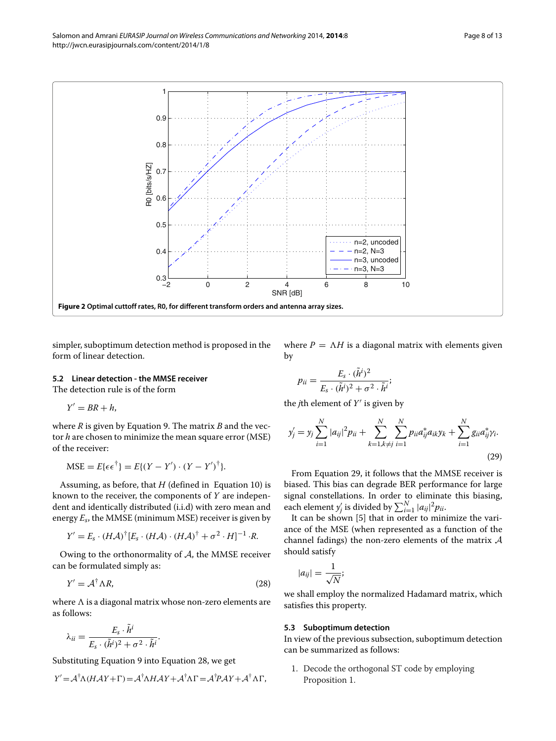

<span id="page-7-0"></span>simpler, suboptimum detection method is proposed in the form of linear detection.

## **5.2 Linear detection - the MMSE receiver**

The detection rule is of the form

 $Y' = BR + h$ 

where *R* is given by Equation [9.](#page-3-4) The matrix *B* and the vector *h* are chosen to minimize the mean square error (MSE) of the receiver:

$$
MSE = E\{\epsilon \epsilon^{\dagger}\} = E\{(Y - Y') \cdot (Y - Y')^{\dagger}\}.
$$

Assuming, as before, that *H* (defined in Equation [10\)](#page-3-5) is known to the receiver, the components of *Y* are independent and identically distributed (i.i.d) with zero mean and energy *Es*, the MMSE (minimum MSE) receiver is given by

$$
Y' = E_s \cdot (H\mathcal{A})^{\dagger} [E_s \cdot (H\mathcal{A}) \cdot (H\mathcal{A})^{\dagger} + \sigma^2 \cdot H]^{-1} \cdot R.
$$

Owing to the orthonormality of  $A$ , the MMSE receiver can be formulated simply as:

<span id="page-7-1"></span>
$$
Y' = \mathcal{A}^\dagger \Lambda R,\tag{28}
$$

where  is a diagonal matrix whose non-zero elements are as follows:

$$
\lambda_{ii} = \frac{E_s \cdot \tilde{h}^i}{E_s \cdot (\tilde{h}^i)^2 + \sigma^2 \cdot \tilde{h}^i}.
$$

Substituting Equation [9](#page-3-4) into Equation [28,](#page-7-1) we get

$$
Y' = \mathcal{A}^{\dagger} \Lambda (H \mathcal{A} Y + \Gamma) = \mathcal{A}^{\dagger} \Lambda H \mathcal{A} Y + \mathcal{A}^{\dagger} \Lambda \Gamma = \mathcal{A}^{\dagger} P \mathcal{A} Y + \mathcal{A}^{\dagger} \Lambda \Gamma,
$$

where  $P = \Lambda H$  is a diagonal matrix with elements given by

<span id="page-7-2"></span>
$$
p_{ii} = \frac{E_s \cdot (\tilde{h}^i)^2}{E_s \cdot (\tilde{h}^i)^2 + \sigma^2 \cdot \tilde{h}^i};
$$

the *j*th element of  $Y'$  is given by

$$
y'_{j} = y_{j} \sum_{i=1}^{N} |a_{ij}|^{2} p_{ii} + \sum_{k=1, k \neq j}^{N} \sum_{i=1}^{N} p_{ii} a_{ij}^{*} a_{ik} y_{k} + \sum_{i=1}^{N} g_{ii} a_{ij}^{*} \gamma_{i}.
$$
\n(29)

From Equation [29,](#page-7-2) it follows that the MMSE receiver is biased. This bias can degrade BER performance for large signal constellations. In order to eliminate this biasing, each element *y'*<sub>j</sub> is divided by  $\sum_{i=1}^{N} |a_{ij}|^2 p_{ii}$ .

It can be shown [\[5\]](#page-12-4) that in order to minimize the variance of the MSE (when represented as a function of the channel fadings) the non-zero elements of the matrix A should satisfy

$$
|a_{ij}|=\frac{1}{\sqrt{N}};
$$

we shall employ the normalized Hadamard matrix, which satisfies this property.

#### **5.3 Suboptimum detection**

In view of the previous subsection, suboptimum detection can be summarized as follows:

1. Decode the orthogonal ST code by employing Proposition [1.](#page-2-3)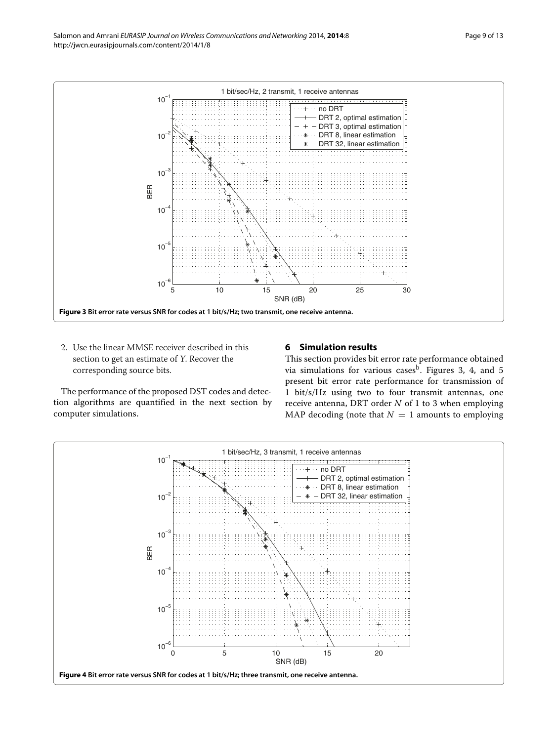

<span id="page-8-1"></span>2. Use the linear MMSE receiver described in this section to get an estimate of <sup>Y</sup>. Recover the corresponding source bits.

## <span id="page-8-0"></span>**6 Simulation results**

The performance of the proposed DST codes and detection algorithms are quantified in the next section by computer simulations.

This section provides bit error rate performance obtained via simulations for various cases<sup>b</sup>. Figures [3,](#page-8-1) [4,](#page-8-2) and [5](#page-9-0) present bit error rate performance for transmission of 1 bit/s/Hz using two to four transmit antennas, one receive antenna, DRT order *N* of 1 to 3 when employing MAP decoding (note that  $N = 1$  amounts to employing

<span id="page-8-2"></span>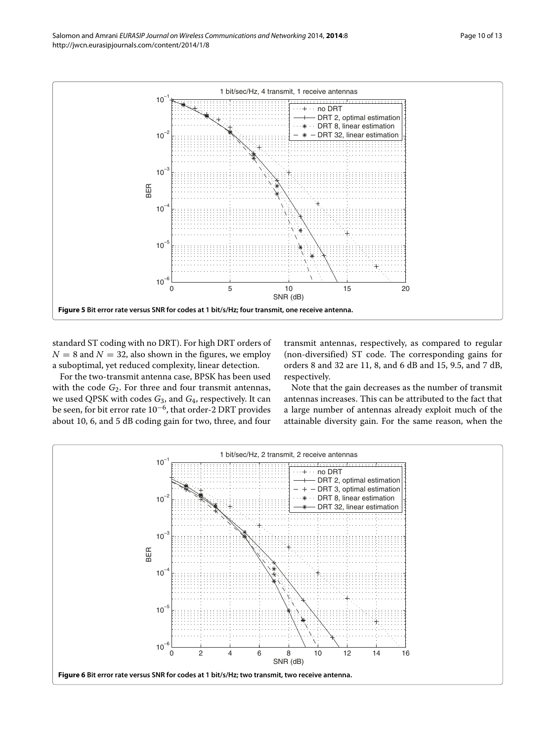

<span id="page-9-0"></span>standard ST coding with no DRT). For high DRT orders of  $N = 8$  and  $N = 32$ , also shown in the figures, we employ a suboptimal, yet reduced complexity, linear detection.

For the two-transmit antenna case, BPSK has been used with the code *G*<sub>2</sub>. For three and four transmit antennas, we used QPSK with codes *G*3, and *G*4, respectively. It can be seen, for bit error rate 10−6, that order-2 DRT provides about 10, 6, and 5 dB coding gain for two, three, and four transmit antennas, respectively, as compared to regular (non-diversified) ST code. The corresponding gains for orders 8 and 32 are 11, 8, and 6 dB and 15, 9.5, and 7 dB, respectively.

Note that the gain decreases as the number of transmit antennas increases. This can be attributed to the fact that a large number of antennas already exploit much of the attainable diversity gain. For the same reason, when the

<span id="page-9-1"></span>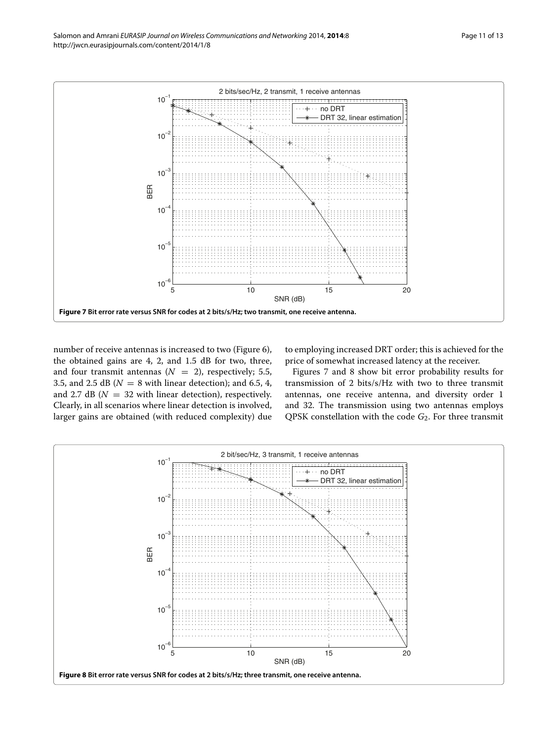

<span id="page-10-0"></span>number of receive antennas is increased to two (Figure [6\)](#page-9-1), the obtained gains are 4, 2, and 1.5 dB for two, three, and four transmit antennas  $(N = 2)$ , respectively; 5.5, 3.5, and 2.5 dB ( $N = 8$  with linear detection); and 6.5, 4, and 2.7 dB ( $N = 32$  with linear detection), respectively. Clearly, in all scenarios where linear detection is involved, larger gains are obtained (with reduced complexity) due to employing increased DRT order; this is achieved for the price of somewhat increased latency at the receiver.

Figures [7](#page-10-0) and [8](#page-10-1) show bit error probability results for transmission of 2 bits/s/Hz with two to three transmit antennas, one receive antenna, and diversity order 1 and 32. The transmission using two antennas employs QPSK constellation with the code *G*2. For three transmit

<span id="page-10-1"></span>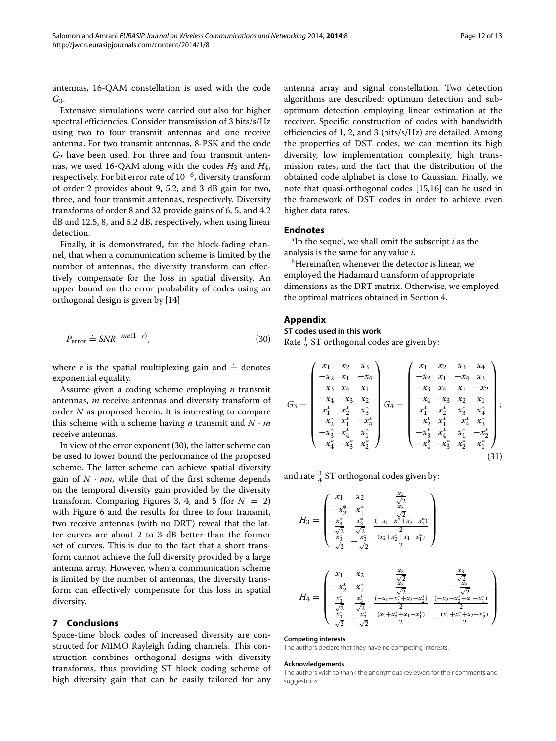antennas, 16-QAM constellation is used with the code *G*3.

Extensive simulations were carried out also for higher spectral efficiencies. Consider transmission of 3 bits/s/Hz using two to four transmit antennas and one receive antenna. For two transmit antennas, 8-PSK and the code *G*<sup>2</sup> have been used. For three and four transmit antennas, we used 16-QAM along with the codes  $H_3$  and  $H_4$ , respectively. For bit error rate of 10−6, diversity transform of order 2 provides about 9, 5.2, and 3 dB gain for two, three, and four transmit antennas, respectively. Diversity transforms of order 8 and 32 provide gains of 6, 5, and 4.2 dB and 12.5, 8, and 5.2 dB, respectively, when using linear detection.

Finally, it is demonstrated, for the block-fading channel, that when a communication scheme is limited by the number of antennas, the diversity transform can effectively compensate for the loss in spatial diversity. An upper bound on the error probability of codes using an orthogonal design is given by [\[14\]](#page-12-13)

<span id="page-11-2"></span>
$$
P_{\text{error}} \doteq SNR^{-mn(1-r)},\tag{30}
$$

where  $r$  is the spatial multiplexing gain and  $\doteq$  denotes exponential equality.

Assume given a coding scheme employing *n* transmit antennas, *m* receive antennas and diversity transform of order *N* as proposed herein. It is interesting to compare this scheme with a scheme having *n* transmit and  $N \cdot m$ receive antennas.

In view of the error exponent [\(30\)](#page-11-2), the latter scheme can be used to lower bound the performance of the proposed scheme. The latter scheme can achieve spatial diversity gain of  $N \cdot mn$ , while that of the first scheme depends on the temporal diversity gain provided by the diversity transform. Comparing Figures [3,](#page-8-1) [4,](#page-8-2) and [5](#page-9-0) (for  $N = 2$ ) with Figure [6](#page-9-1) and the results for three to four transmit, two receive antennas (with no DRT) reveal that the latter curves are about 2 to 3 dB better than the former set of curves. This is due to the fact that a short transform cannot achieve the full diversity provided by a large antenna array. However, when a communication scheme is limited by the number of antennas, the diversity transform can effectively compensate for this loss in spatial diversity.

## <span id="page-11-0"></span>**7 Conclusions**

Space-time block codes of increased diversity are constructed for MIMO Rayleigh fading channels. This construction combines orthogonal designs with diversity transforms, thus providing ST block coding scheme of high diversity gain that can be easily tailored for any antenna array and signal constellation. Two detection algorithms are described: optimum detection and suboptimum detection employing linear estimation at the receiver. Specific construction of codes with bandwidth efficiencies of 1, 2, and 3 (bits/s/Hz) are detailed. Among the properties of DST codes, we can mention its high diversity, low implementation complexity, high transmission rates, and the fact that the distribution of the obtained code alphabet is close to Gaussian. Finally, we note that quasi-orthogonal codes [\[15](#page-12-14)[,16\]](#page-12-15) can be used in the framework of DST codes in order to achieve even higher data rates.

## **Endnotes**

a In the sequel, we shall omit the subscript *i* as the analysis is the same for any value *i*.

<sup>b</sup>Hereinafter, whenever the detector is linear, we employed the Hadamard transform of appropriate dimensions as the DRT matrix. Otherwise, we employed the optimal matrices obtained in Section [4.](#page-3-0)

## <span id="page-11-1"></span>**Appendix**

## **ST codes used in this work**

Rate  $\frac{1}{2}$  ST orthogonal codes are given by:

$$
G_3 = \begin{pmatrix} x_1 & x_2 & x_3 \\ -x_2 & x_1 & -x_4 \\ -x_3 & x_4 & x_1 \\ -x_4 & -x_3 & x_2 \\ x_1^* & x_2^* & x_3^* \\ -x_2^* & x_1^* & -x_4^* \\ -x_3^* & x_4^* & x_1^* \\ -x_3^* & x_4^* & x_1^* \\ -x_4^* & -x_3^* & x_1^* \\ -x_4^* & -x_2^* & x_1^* & -x_4^* \\ -x_4^* & -x_3^* & x_4^* & x_1^* \\ -x_4^* & -x_3^* & x_4^* & x_1^* \\ -x_4^* & -x_3^* & x_4^* & x_1^* & -x_2^* \\ -x_4^* & -x_3^* & x_2^* & x_1^* \end{pmatrix};
$$
\n
$$
(31)
$$

and rate  $\frac{3}{4}$  ST orthogonal codes given by:

*H*<sup>3</sup> = ⎛ ⎜ ⎜⎜ ⎜ ⎝ *x*<sup>1</sup> *x*<sup>2</sup> <sup>√</sup> *x*3 2 −*x*<sup>∗</sup> <sup>2</sup> *x*<sup>∗</sup> 1 √ *x*3 <sup>2</sup> *<sup>x</sup>*<sup>∗</sup> √3 2 *x*∗ √3 2 *(*−*x*1−*x*<sup>∗</sup> 1+*x*2−*x*<sup>∗</sup> 2*)* 2 *x*∗ √3 <sup>2</sup> <sup>−</sup> *<sup>x</sup>*<sup>∗</sup> √3 2 *(x*2+*x*<sup>∗</sup> 2+*x*1−*x*<sup>∗</sup> 1*)* 2 ⎞ ⎟ ⎟⎟ ⎟ ⎠ *H*<sup>4</sup> = ⎛ ⎜ ⎜ ⎜ ⎜ ⎝ *x*<sup>1</sup> *x*<sup>2</sup> <sup>√</sup> *x*3 <sup>2</sup> <sup>√</sup> *x*3 2 −*x*<sup>∗</sup> <sup>2</sup> *x*<sup>∗</sup> 1 √ *x*3 <sup>2</sup> − <sup>√</sup> *x*3 <sup>2</sup> *<sup>x</sup>*<sup>∗</sup> √3 2 *x*∗ √3 2 *(*−*x*1−*x*<sup>∗</sup> 1+*x*2−*x*<sup>∗</sup> 2*)* 2 *(*−*x*2−*x*<sup>∗</sup> 2+*x*1−*x*<sup>∗</sup> 1*)* 2 *x*∗ √3 <sup>2</sup> <sup>−</sup> *<sup>x</sup>*<sup>∗</sup> √3 2 *(x*2+*x*<sup>∗</sup> 2+*x*1−*x*<sup>∗</sup> 1*)* <sup>2</sup> <sup>−</sup>*(x*1+*x*<sup>∗</sup> 1+*x*2−*x*<sup>∗</sup> 2*)* 2 ⎞ ⎟ ⎟ ⎟ ⎟ ⎠

#### **Competing interests**

The authors declare that they have no competing interests.

#### **Acknowledgements**

The authors wish to thank the anonymous reviewers for their comments and suggestions.